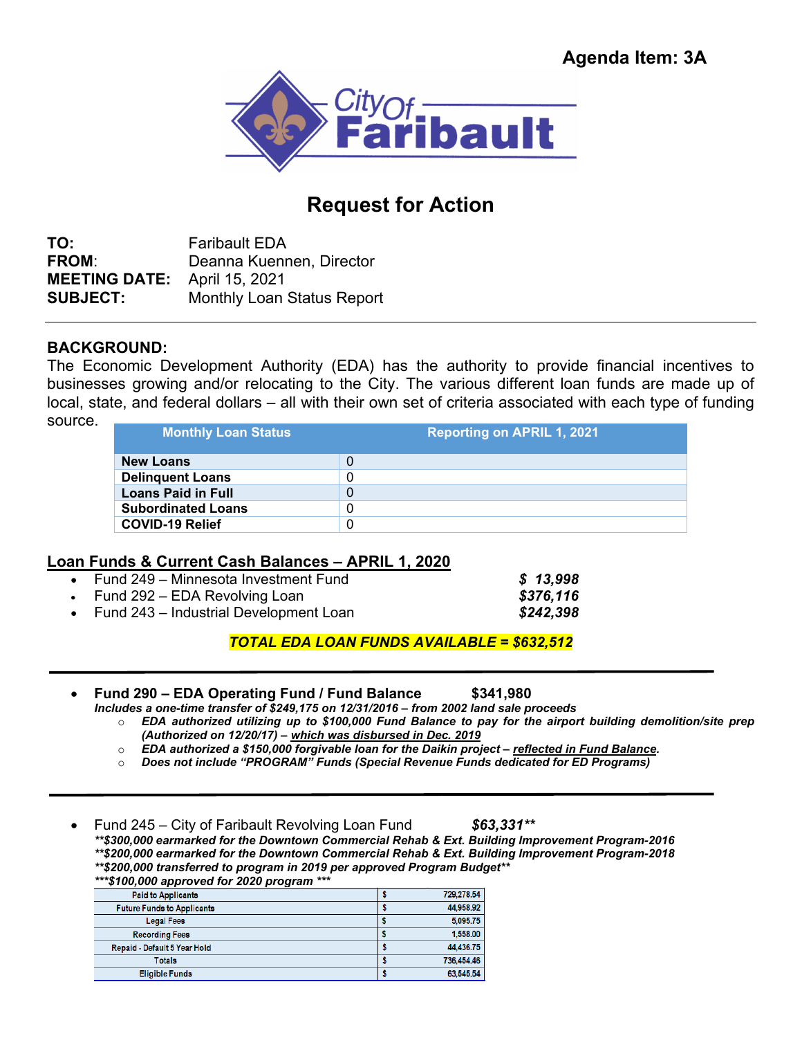

## **Request for Action**

**TO:** Faribault EDA **FROM**: Deanna Kuennen, Director **MEETING DATE:** April 15, 2021 **SUBJECT:** Monthly Loan Status Report

## **BACKGROUND:**

The Economic Development Authority (EDA) has the authority to provide financial incentives to businesses growing and/or relocating to the City. The various different loan funds are made up of local, state, and federal dollars – all with their own set of criteria associated with each type of funding source.

| <b>Monthly Loan Status</b> | <b>Reporting on APRIL 1, 2021</b> |
|----------------------------|-----------------------------------|
| <b>New Loans</b>           | 0                                 |
| <b>Delinquent Loans</b>    | 0                                 |
| <b>Loans Paid in Full</b>  | 0                                 |
| <b>Subordinated Loans</b>  | 0                                 |
| <b>COVID-19 Relief</b>     | 0                                 |

## **Loan Funds & Current Cash Balances – APRIL 1, 2020**

| • Fund 249 – Minnesota Investment Fund   | \$13,998  |
|------------------------------------------|-----------|
| • Fund 292 – EDA Revolving Loan          | \$376,116 |
| • Fund 243 – Industrial Development Loan | \$242,398 |

*TOTAL EDA LOAN FUNDS AVAILABLE = \$632,512* 

- **Fund 290 EDA Operating Fund / Fund Balance \$341,980** 
	- *Includes a one-time transfer of \$249,175 on 12/31/2016 from 2002 land sale proceeds*  o *EDA authorized utilizing up to \$100,000 Fund Balance to pay for the airport building demolition/site prep (Authorized on 12/20/17) – which was disbursed in Dec. 2019* 
		- o *EDA authorized a \$150,000 forgivable loan for the Daikin project reflected in Fund Balance.*
		- o *Does not include "PROGRAM" Funds (Special Revenue Funds dedicated for ED Programs)*

Fund 245 – City of Faribault Revolving Loan Fund *\$63,331\*\**

*\*\*\$300,000 earmarked for the Downtown Commercial Rehab & Ext. Building Improvement Program-2016 \*\*\$200,000 earmarked for the Downtown Commercial Rehab & Ext. Building Improvement Program-2018 \*\*\$200,000 transferred to program in 2019 per approved Program Budget\*\** 

| ***\$100,000 approved for 2020 program *** |  |  |  |
|--------------------------------------------|--|--|--|
|                                            |  |  |  |

| <b>Paid to Applicants</b>         | 729.278.54 |
|-----------------------------------|------------|
| <b>Future Funds to Applicants</b> | 44,958.92  |
| <b>Legal Fees</b>                 | 5.095.75   |
| <b>Recording Fees</b>             | 1,558.00   |
| Repaid - Default 5 Year Hold      | 44.436.75  |
| <b>Totals</b>                     | 736,454.46 |
| <b>Eligible Funds</b>             | 63,545.54  |